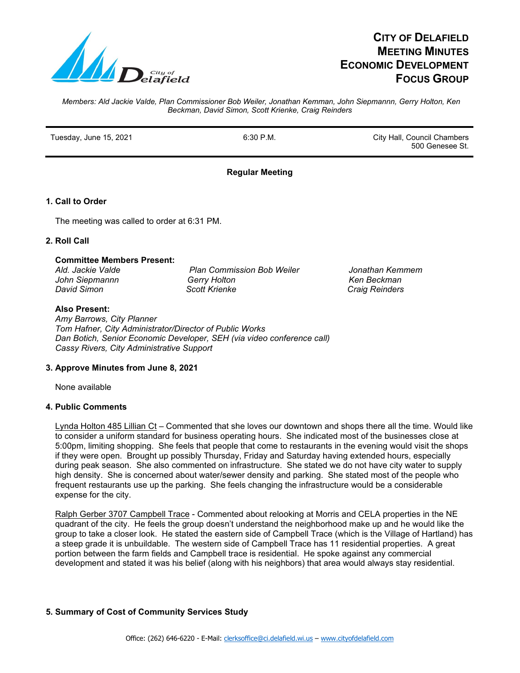

# **CITY OF DELAFIELD MEETING MINUTES ECONOMIC DEVELOPMENT FOCUS GROUP**

*Members: Ald Jackie Valde, Plan Commissioner Bob Weiler, Jonathan Kemman, John Siepmannn, Gerry Holton, Ken Beckman, David Simon, Scott Krienke, Craig Reinders*

Tuesday, June 15, 2021 **Fig. 2021 6:30 P.M.** City Hall, Council Chambers

500 Genesee St.

 *Ald. Jackie Valde Plan Commission Bob Weiler Jonathan Kemmem Ken Beckman David Simon Scott Krienke Craig Reinders*

# **Regular Meeting**

# **1. Call to Order**

The meeting was called to order at 6:31 PM.

## **2. Roll Call**

## **Committee Members Present:**

| Ald. Jackie Valde | <b>Plan Commission Bob Weiler</b> |
|-------------------|-----------------------------------|
| John Siepmannn    | Gerry Holton                      |
| David Simon       | <b>Scott Krienke</b>              |

#### **Also Present:**

 *Amy Barrows, City Planner Tom Hafner, City Administrator/Director of Public Works Dan Botich, Senior Economic Developer, SEH (via video conference call) Cassy Rivers, City Administrative Support*

## **3. Approve Minutes from June 8, 2021**

None available

## **4. Public Comments**

Lynda Holton 485 Lillian Ct - Commented that she loves our downtown and shops there all the time. Would like to consider a uniform standard for business operating hours. She indicated most of the businesses close at 5:00pm, limiting shopping. She feels that people that come to restaurants in the evening would visit the shops if they were open. Brought up possibly Thursday, Friday and Saturday having extended hours, especially during peak season. She also commented on infrastructure. She stated we do not have city water to supply high density. She is concerned about water/sewer density and parking. She stated most of the people who frequent restaurants use up the parking. She feels changing the infrastructure would be a considerable expense for the city.

Ralph Gerber 3707 Campbell Trace - Commented about relooking at Morris and CELA properties in the NE quadrant of the city. He feels the group doesn't understand the neighborhood make up and he would like the group to take a closer look. He stated the eastern side of Campbell Trace (which is the Village of Hartland) has a steep grade it is unbuildable. The western side of Campbell Trace has 11 residential properties. A great portion between the farm fields and Campbell trace is residential. He spoke against any commercial development and stated it was his belief (along with his neighbors) that area would always stay residential.

## **5. Summary of Cost of Community Services Study**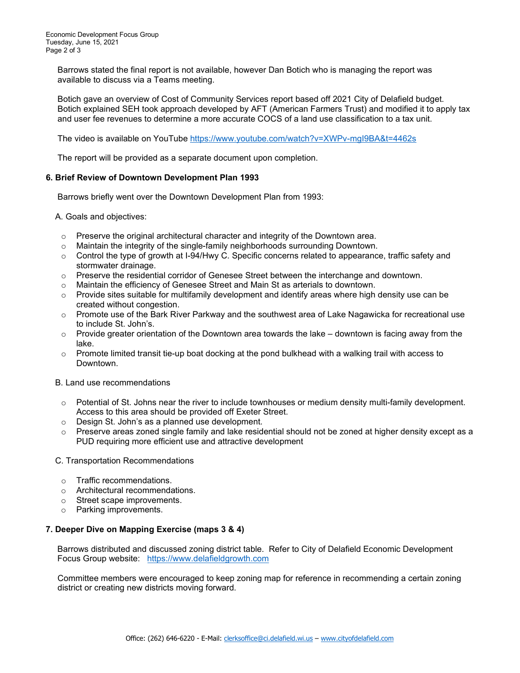Barrows stated the final report is not available, however Dan Botich who is managing the report was available to discuss via a Teams meeting.

 Botich gave an overview of Cost of Community Services report based off 2021 City of Delafield budget. Botich explained SEH took approach developed by AFT (American Farmers Trust) and modified it to apply tax and user fee revenues to determine a more accurate COCS of a land use classification to a tax unit.

The video is available on YouTube<https://www.youtube.com/watch?v=XWPv-mgI9BA&t=4462s>

The report will be provided as a separate document upon completion.

#### **6. Brief Review of Downtown Development Plan 1993**

Barrows briefly went over the Downtown Development Plan from 1993:

A. Goals and objectives:

- $\circ$  Preserve the original architectural character and integrity of the Downtown area.
- o Maintain the integrity of the single-family neighborhoods surrounding Downtown.
- $\circ$  Control the type of growth at I-94/Hwy C. Specific concerns related to appearance, traffic safety and stormwater drainage.
- o Preserve the residential corridor of Genesee Street between the interchange and downtown.
- o Maintain the efficiency of Genesee Street and Main St as arterials to downtown.
- $\circ$  Provide sites suitable for multifamily development and identify areas where high density use can be created without congestion.
- $\circ$  Promote use of the Bark River Parkway and the southwest area of Lake Nagawicka for recreational use to include St. John's.
- $\circ$  Provide greater orientation of the Downtown area towards the lake downtown is facing away from the lake.
- $\circ$  Promote limited transit tie-up boat docking at the pond bulkhead with a walking trail with access to Downtown.

B. Land use recommendations

- $\circ$  Potential of St. Johns near the river to include townhouses or medium density multi-family development. Access to this area should be provided off Exeter Street.
- o Design St. John's as a planned use development.
- $\circ$  Preserve areas zoned single family and lake residential should not be zoned at higher density except as a PUD requiring more efficient use and attractive development
- C. Transportation Recommendations
	- o Traffic recommendations.
	- o Architectural recommendations.
	- o Street scape improvements.
	- o Parking improvements.

#### **7. Deeper Dive on Mapping Exercise (maps 3 & 4)**

Barrows distributed and discussed zoning district table. Refer to City of Delafield Economic Development Focus Group website: [https://www.delafieldgrowth.com](https://www.delafieldgrowth.com/)

 Committee members were encouraged to keep zoning map for reference in recommending a certain zoning district or creating new districts moving forward.